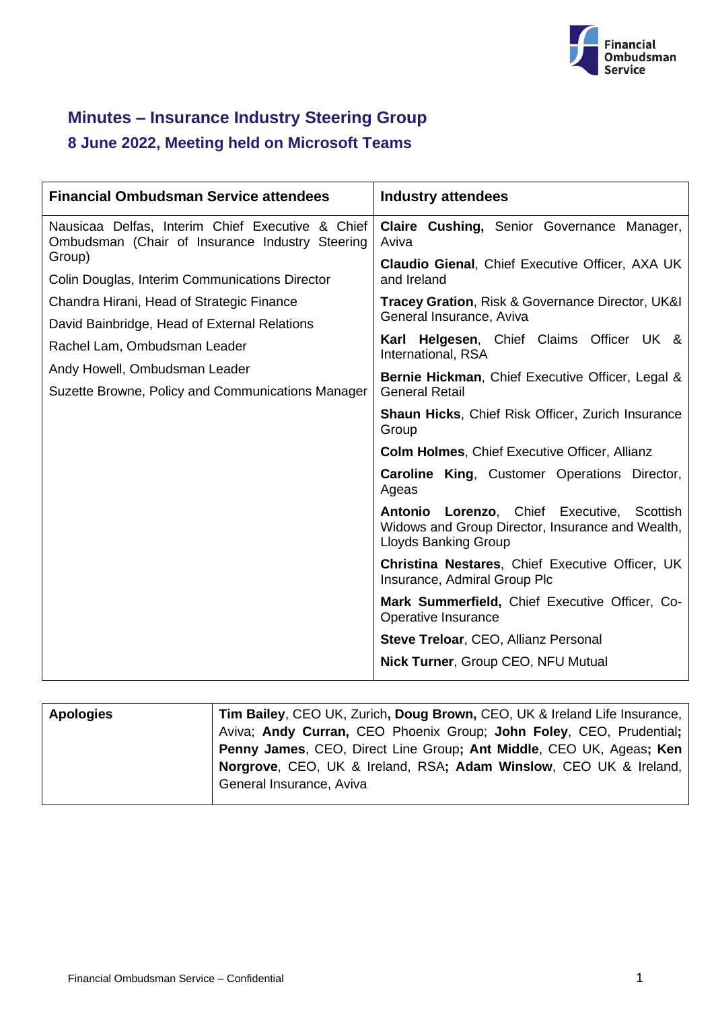

# **Minutes – Insurance Industry Steering Group**

## **8 June 2022, Meeting held on Microsoft Teams**

| <b>Financial Ombudsman Service attendees</b>                                                        | <b>Industry attendees</b>                                                                                                     |
|-----------------------------------------------------------------------------------------------------|-------------------------------------------------------------------------------------------------------------------------------|
| Nausicaa Delfas, Interim Chief Executive & Chief<br>Ombudsman (Chair of Insurance Industry Steering | Claire Cushing, Senior Governance Manager,<br>Aviva                                                                           |
| Group)<br>Colin Douglas, Interim Communications Director                                            | <b>Claudio Gienal, Chief Executive Officer, AXA UK</b><br>and Ireland                                                         |
| Chandra Hirani, Head of Strategic Finance<br>David Bainbridge, Head of External Relations           | <b>Tracey Gration, Risk &amp; Governance Director, UK&amp;I</b><br>General Insurance, Aviva                                   |
| Rachel Lam, Ombudsman Leader                                                                        | Karl Helgesen, Chief Claims Officer UK &<br>International, RSA                                                                |
| Andy Howell, Ombudsman Leader<br>Suzette Browne, Policy and Communications Manager                  | Bernie Hickman, Chief Executive Officer, Legal &<br><b>General Retail</b>                                                     |
|                                                                                                     | <b>Shaun Hicks, Chief Risk Officer, Zurich Insurance</b><br>Group                                                             |
|                                                                                                     | <b>Colm Holmes, Chief Executive Officer, Allianz</b>                                                                          |
|                                                                                                     | <b>Caroline King, Customer Operations Director,</b><br>Ageas                                                                  |
|                                                                                                     | Antonio Lorenzo, Chief Executive, Scottish<br>Widows and Group Director, Insurance and Wealth,<br><b>Lloyds Banking Group</b> |
|                                                                                                     | <b>Christina Nestares, Chief Executive Officer, UK</b><br>Insurance, Admiral Group Plc                                        |
|                                                                                                     | Mark Summerfield, Chief Executive Officer, Co-<br>Operative Insurance                                                         |
|                                                                                                     | <b>Steve Treloar, CEO, Allianz Personal</b>                                                                                   |
|                                                                                                     | <b>Nick Turner, Group CEO, NFU Mutual</b>                                                                                     |

| Tim Bailey, CEO UK, Zurich, Doug Brown, CEO, UK & Ireland Life Insurance, |
|---------------------------------------------------------------------------|
| Aviva; Andy Curran, CEO Phoenix Group; John Foley, CEO, Prudential;       |
| Penny James, CEO, Direct Line Group; Ant Middle, CEO UK, Ageas; Ken       |
| Norgrove, CEO, UK & Ireland, RSA; Adam Winslow, CEO UK & Ireland,         |
|                                                                           |
| General Insurance, Aviva                                                  |
|                                                                           |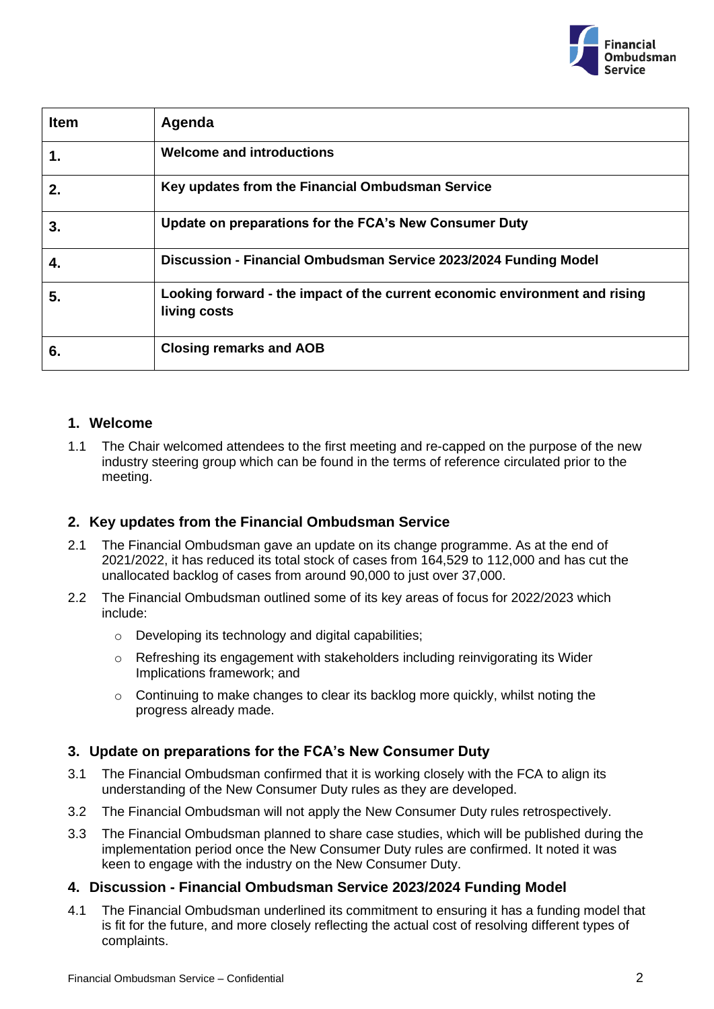

| <b>Item</b> | Agenda                                                                                      |
|-------------|---------------------------------------------------------------------------------------------|
| 1.          | <b>Welcome and introductions</b>                                                            |
| 2.          | Key updates from the Financial Ombudsman Service                                            |
| 3.          | Update on preparations for the FCA's New Consumer Duty                                      |
| 4.          | Discussion - Financial Ombudsman Service 2023/2024 Funding Model                            |
| 5.          | Looking forward - the impact of the current economic environment and rising<br>living costs |
| 6.          | <b>Closing remarks and AOB</b>                                                              |

#### **1. Welcome**

1.1 The Chair welcomed attendees to the first meeting and re-capped on the purpose of the new industry steering group which can be found in the terms of reference circulated prior to the meeting.

### **2. Key updates from the Financial Ombudsman Service**

- 2.1 The Financial Ombudsman gave an update on its change programme. As at the end of 2021/2022, it has reduced its total stock of cases from 164,529 to 112,000 and has cut the unallocated backlog of cases from around 90,000 to just over 37,000.
- 2.2 The Financial Ombudsman outlined some of its key areas of focus for 2022/2023 which include:
	- o Developing its technology and digital capabilities;
	- o Refreshing its engagement with stakeholders including reinvigorating its Wider Implications framework; and
	- o Continuing to make changes to clear its backlog more quickly, whilst noting the progress already made.

### **3. Update on preparations for the FCA's New Consumer Duty**

- 3.1 The Financial Ombudsman confirmed that it is working closely with the FCA to align its understanding of the New Consumer Duty rules as they are developed.
- 3.2 The Financial Ombudsman will not apply the New Consumer Duty rules retrospectively.
- 3.3 The Financial Ombudsman planned to share case studies, which will be published during the implementation period once the New Consumer Duty rules are confirmed. It noted it was keen to engage with the industry on the New Consumer Duty.

### **4. Discussion - Financial Ombudsman Service 2023/2024 Funding Model**

4.1 The Financial Ombudsman underlined its commitment to ensuring it has a funding model that is fit for the future, and more closely reflecting the actual cost of resolving different types of complaints.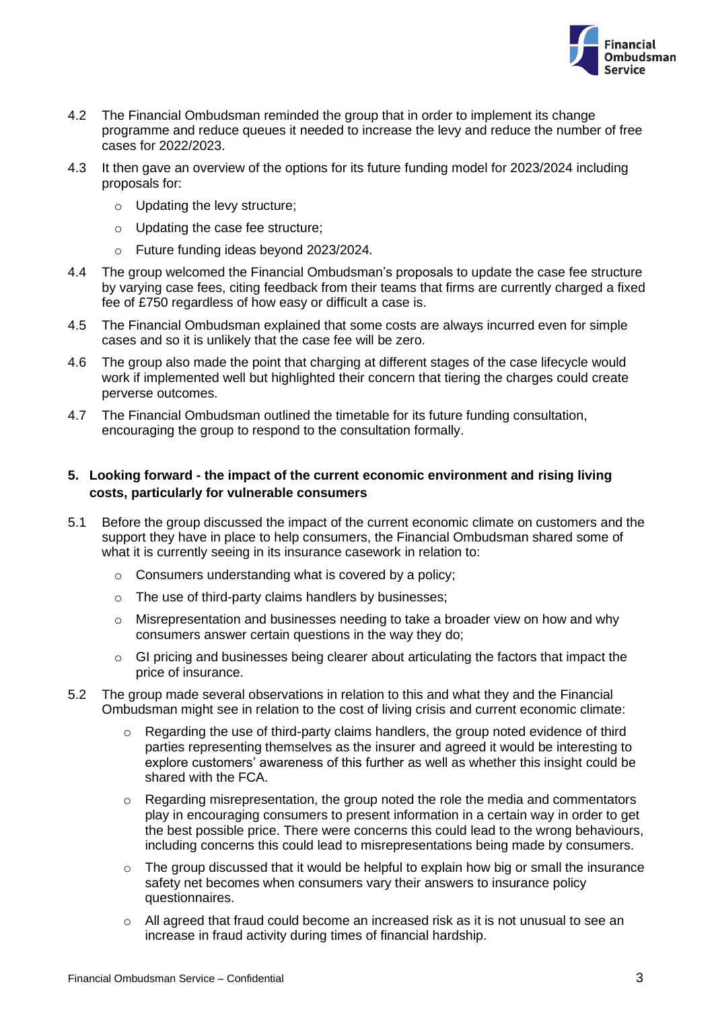

- 4.2 The Financial Ombudsman reminded the group that in order to implement its change programme and reduce queues it needed to increase the levy and reduce the number of free cases for 2022/2023.
- 4.3 It then gave an overview of the options for its future funding model for 2023/2024 including proposals for:
	- o Updating the levy structure;
	- o Updating the case fee structure;
	- o Future funding ideas beyond 2023/2024.
- 4.4 The group welcomed the Financial Ombudsman's proposals to update the case fee structure by varying case fees, citing feedback from their teams that firms are currently charged a fixed fee of £750 regardless of how easy or difficult a case is.
- 4.5 The Financial Ombudsman explained that some costs are always incurred even for simple cases and so it is unlikely that the case fee will be zero.
- 4.6 The group also made the point that charging at different stages of the case lifecycle would work if implemented well but highlighted their concern that tiering the charges could create perverse outcomes.
- 4.7 The Financial Ombudsman outlined the timetable for its future funding consultation, encouraging the group to respond to the consultation formally.

#### **5. Looking forward - the impact of the current economic environment and rising living costs, particularly for vulnerable consumers**

- 5.1 Before the group discussed the impact of the current economic climate on customers and the support they have in place to help consumers, the Financial Ombudsman shared some of what it is currently seeing in its insurance casework in relation to:
	- o Consumers understanding what is covered by a policy;
	- o The use of third-party claims handlers by businesses;
	- o Misrepresentation and businesses needing to take a broader view on how and why consumers answer certain questions in the way they do;
	- o GI pricing and businesses being clearer about articulating the factors that impact the price of insurance.
- 5.2 The group made several observations in relation to this and what they and the Financial Ombudsman might see in relation to the cost of living crisis and current economic climate:
	- $\circ$  Regarding the use of third-party claims handlers, the group noted evidence of third parties representing themselves as the insurer and agreed it would be interesting to explore customers' awareness of this further as well as whether this insight could be shared with the FCA.
	- $\circ$  Regarding misrepresentation, the group noted the role the media and commentators play in encouraging consumers to present information in a certain way in order to get the best possible price. There were concerns this could lead to the wrong behaviours, including concerns this could lead to misrepresentations being made by consumers.
	- o The group discussed that it would be helpful to explain how big or small the insurance safety net becomes when consumers vary their answers to insurance policy questionnaires.
	- o All agreed that fraud could become an increased risk as it is not unusual to see an increase in fraud activity during times of financial hardship.